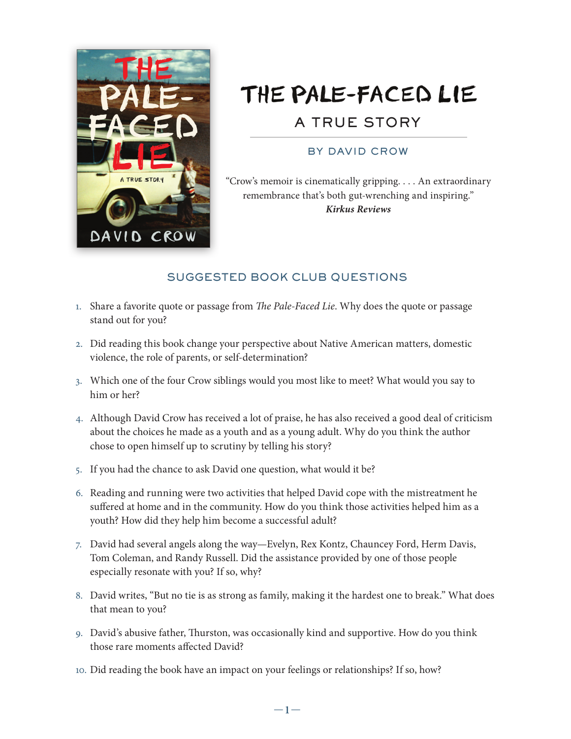

## THE PALE-FACED LIE A TRUE STORY

## BY DAVID CROW

"Crow's memoir is cinematically gripping. . . . An extraordinary remembrance that's both gut-wrenching and inspiring." *Kirkus Reviews*

## SUGGESTED BOOK CLUB QUESTIONS

- 1. Share a favorite quote or passage from *The Pale-Faced Lie*. Why does the quote or passage stand out for you?
- 2. Did reading this book change your perspective about Native American matters, domestic violence, the role of parents, or self-determination?
- 3. Which one of the four Crow siblings would you most like to meet? What would you say to him or her?
- 4. Although David Crow has received a lot of praise, he has also received a good deal of criticism about the choices he made as a youth and as a young adult. Why do you think the author chose to open himself up to scrutiny by telling his story?
- 5. If you had the chance to ask David one question, what would it be?
- . Reading and running were two activities that helped David cope with the mistreatment he suffered at home and in the community. How do you think those activities helped him as a youth? How did they help him become a successful adult?
- . David had several angels along the way—Evelyn, Rex Kontz, Chauncey Ford, Herm Davis, Tom Coleman, and Randy Russell. Did the assistance provided by one of those people especially resonate with you? If so, why?
- . David writes, "But no tie is as strong as family, making it the hardest one to break." What does that mean to you?
- 9. David's abusive father, Thurston, was occasionally kind and supportive. How do you think those rare moments affected David?
- 10. Did reading the book have an impact on your feelings or relationships? If so, how?